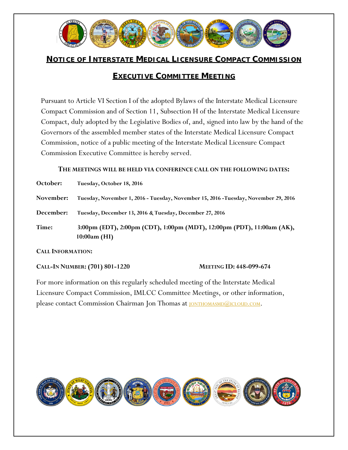

# **NOTICE OF INTERSTATE MEDICAL LICENSURE COMPACT COMMISSION**

# **EXECUTIVE COMMITTEE MEETING**

Pursuant to Article VI Section I of the adopted Bylaws of the Interstate Medical Licensure Compact Commission and of Section 11, Subsection H of the Interstate Medical Licensure Compact, duly adopted by the Legislative Bodies of, and, signed into law by the hand of the Governors of the assembled member states of the Interstate Medical Licensure Compact Commission, notice of a public meeting of the Interstate Medical Licensure Compact Commission Executive Committee is hereby served.

#### **THE MEETINGS WILL BE HELD VIA CONFERENCE CALL ON THE FOLLOWING DATES:**

| October:                      | Tuesday, October 18, 2016                                                                |  |
|-------------------------------|------------------------------------------------------------------------------------------|--|
| November:                     | Tuesday, November 1, 2016 - Tuesday, November 15, 2016 - Tuesday, November 29, 2016      |  |
| December:                     | Tuesday, December 13, 2016 & Tuesday, December 27, 2016                                  |  |
| Time:                         | 3:00pm (EDT), 2:00pm (CDT), 1:00pm (MDT), 12:00pm (PDT), 11:00am (AK),<br>$10:00am$ (HI) |  |
| $C_{\text{ATE}}$ INFORMATION. |                                                                                          |  |

**CALL INFORMATION:**

**CALL-IN NUMBER: (701) 801-1220 MEETING ID: 448-099-674**

For more information on this regularly scheduled meeting of the Interstate Medical Licensure Compact Commission, IMLCC Committee Meetings, or other information, please contact Commission Chairman Jon Thomas at **JONTHOMASMD**@ICLOUD.COM.

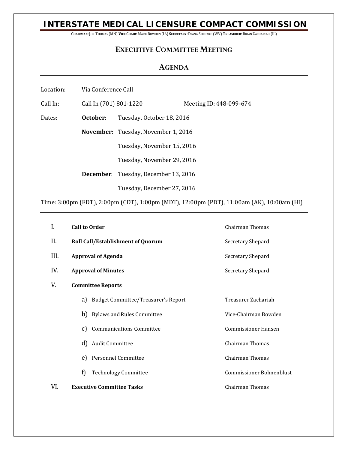## **INTERSTATE MEDICAL LICENSURE COMPACT COMMISSION**

**CHAIRMAN**: JON THOMAS (MN) **VICE CHAIR**: MARK BOWDEN (IA) **SECRETARY**: DIANA SHEPARD (WV) **TREASURER**: BRIAN ZACHARIAH (IL)

### **EXECUTIVE COMMITTEE MEETING**

### **AGENDA**

| Via Conference Call<br>Location: |
|----------------------------------|
|----------------------------------|

Call In: Call In (701) 801-1220 Meeting ID: 448-099-674 Dates: **October**: Tuesday, October 18, 2016 **November**: Tuesday, November 1, 2016 Tuesday, November 15, 2016 Tuesday, November 29, 2016 **December**: Tuesday, December 13, 2016 Tuesday, December 27, 2016

Time: 3:00pm (EDT), 2:00pm (CDT), 1:00pm (MDT), 12:00pm (PDT), 11:00am (AK), 10:00am (HI)

| I.   | <b>Call to Order</b>     |                                            | Chairman Thomas                 |  |  |
|------|--------------------------|--------------------------------------------|---------------------------------|--|--|
| II.  |                          | <b>Roll Call/Establishment of Quorum</b>   | Secretary Shepard               |  |  |
| III. |                          | <b>Approval of Agenda</b>                  | Secretary Shepard               |  |  |
| IV.  |                          | <b>Approval of Minutes</b>                 | Secretary Shepard               |  |  |
| V.   | <b>Committee Reports</b> |                                            |                                 |  |  |
|      | a)                       | <b>Budget Committee/Treasurer's Report</b> | Treasurer Zachariah             |  |  |
|      | b)                       | <b>Bylaws and Rules Committee</b>          | Vice-Chairman Bowden            |  |  |
|      | C)                       | <b>Communications Committee</b>            | <b>Commissioner Hansen</b>      |  |  |
|      | d)                       | Audit Committee                            | Chairman Thomas                 |  |  |
|      | e)                       | Personnel Committee                        | Chairman Thomas                 |  |  |
|      | f)                       | <b>Technology Committee</b>                | <b>Commissioner Bohnenblust</b> |  |  |
| VI.  |                          | <b>Executive Committee Tasks</b>           | Chairman Thomas                 |  |  |